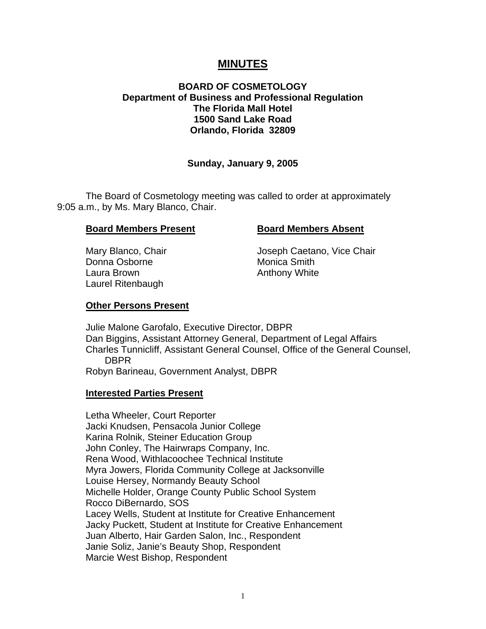# **MINUTES**

## **BOARD OF COSMETOLOGY Department of Business and Professional Regulation The Florida Mall Hotel 1500 Sand Lake Road Orlando, Florida 32809**

### **Sunday, January 9, 2005**

The Board of Cosmetology meeting was called to order at approximately 9:05 a.m., by Ms. Mary Blanco, Chair.

#### **Board Members Present Board Members Absent**

Donna Osborne **Monica Smith** Laura Brown **Anthony White** Laurel Ritenbaugh

Mary Blanco, Chair **Mary Blanco, Chair** Joseph Caetano, Vice Chair

#### **Other Persons Present**

Julie Malone Garofalo, Executive Director, DBPR Dan Biggins, Assistant Attorney General, Department of Legal Affairs Charles Tunnicliff, Assistant General Counsel, Office of the General Counsel, DBPR Robyn Barineau, Government Analyst, DBPR

#### **Interested Parties Present**

Letha Wheeler, Court Reporter Jacki Knudsen, Pensacola Junior College Karina Rolnik, Steiner Education Group John Conley, The Hairwraps Company, Inc. Rena Wood, Withlacoochee Technical Institute Myra Jowers, Florida Community College at Jacksonville Louise Hersey, Normandy Beauty School Michelle Holder, Orange County Public School System Rocco DiBernardo, SOS Lacey Wells, Student at Institute for Creative Enhancement Jacky Puckett, Student at Institute for Creative Enhancement Juan Alberto, Hair Garden Salon, Inc., Respondent Janie Soliz, Janie's Beauty Shop, Respondent Marcie West Bishop, Respondent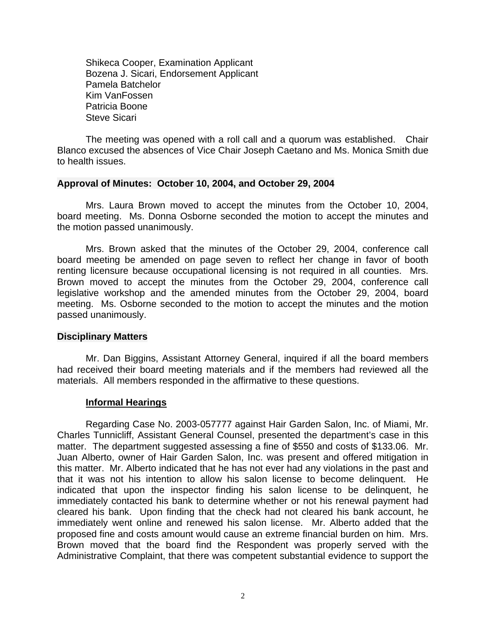Shikeca Cooper, Examination Applicant Bozena J. Sicari, Endorsement Applicant Pamela Batchelor Kim VanFossen Patricia Boone Steve Sicari

The meeting was opened with a roll call and a quorum was established. Chair Blanco excused the absences of Vice Chair Joseph Caetano and Ms. Monica Smith due to health issues.

#### **Approval of Minutes: October 10, 2004, and October 29, 2004**

Mrs. Laura Brown moved to accept the minutes from the October 10, 2004, board meeting. Ms. Donna Osborne seconded the motion to accept the minutes and the motion passed unanimously.

Mrs. Brown asked that the minutes of the October 29, 2004, conference call board meeting be amended on page seven to reflect her change in favor of booth renting licensure because occupational licensing is not required in all counties. Mrs. Brown moved to accept the minutes from the October 29, 2004, conference call legislative workshop and the amended minutes from the October 29, 2004, board meeting. Ms. Osborne seconded to the motion to accept the minutes and the motion passed unanimously.

#### **Disciplinary Matters**

Mr. Dan Biggins, Assistant Attorney General, inquired if all the board members had received their board meeting materials and if the members had reviewed all the materials. All members responded in the affirmative to these questions.

#### **Informal Hearings**

Regarding Case No. 2003-057777 against Hair Garden Salon, Inc. of Miami, Mr. Charles Tunnicliff, Assistant General Counsel, presented the department's case in this matter. The department suggested assessing a fine of \$550 and costs of \$133.06. Mr. Juan Alberto, owner of Hair Garden Salon, Inc. was present and offered mitigation in this matter. Mr. Alberto indicated that he has not ever had any violations in the past and that it was not his intention to allow his salon license to become delinquent. He indicated that upon the inspector finding his salon license to be delinquent, he immediately contacted his bank to determine whether or not his renewal payment had cleared his bank. Upon finding that the check had not cleared his bank account, he immediately went online and renewed his salon license. Mr. Alberto added that the proposed fine and costs amount would cause an extreme financial burden on him. Mrs. Brown moved that the board find the Respondent was properly served with the Administrative Complaint, that there was competent substantial evidence to support the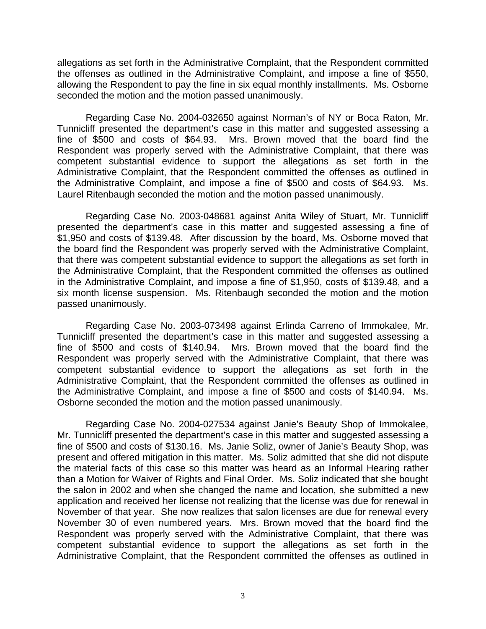allegations as set forth in the Administrative Complaint, that the Respondent committed the offenses as outlined in the Administrative Complaint, and impose a fine of \$550, allowing the Respondent to pay the fine in six equal monthly installments. Ms. Osborne seconded the motion and the motion passed unanimously.

Regarding Case No. 2004-032650 against Norman's of NY or Boca Raton, Mr. Tunnicliff presented the department's case in this matter and suggested assessing a fine of \$500 and costs of \$64.93. Mrs. Brown moved that the board find the Respondent was properly served with the Administrative Complaint, that there was competent substantial evidence to support the allegations as set forth in the Administrative Complaint, that the Respondent committed the offenses as outlined in the Administrative Complaint, and impose a fine of \$500 and costs of \$64.93. Ms. Laurel Ritenbaugh seconded the motion and the motion passed unanimously.

Regarding Case No. 2003-048681 against Anita Wiley of Stuart, Mr. Tunnicliff presented the department's case in this matter and suggested assessing a fine of \$1,950 and costs of \$139.48. After discussion by the board, Ms. Osborne moved that the board find the Respondent was properly served with the Administrative Complaint, that there was competent substantial evidence to support the allegations as set forth in the Administrative Complaint, that the Respondent committed the offenses as outlined in the Administrative Complaint, and impose a fine of \$1,950, costs of \$139.48, and a six month license suspension. Ms. Ritenbaugh seconded the motion and the motion passed unanimously.

Regarding Case No. 2003-073498 against Erlinda Carreno of Immokalee, Mr. Tunnicliff presented the department's case in this matter and suggested assessing a fine of \$500 and costs of \$140.94. Mrs. Brown moved that the board find the Respondent was properly served with the Administrative Complaint, that there was competent substantial evidence to support the allegations as set forth in the Administrative Complaint, that the Respondent committed the offenses as outlined in the Administrative Complaint, and impose a fine of \$500 and costs of \$140.94. Ms. Osborne seconded the motion and the motion passed unanimously.

Regarding Case No. 2004-027534 against Janie's Beauty Shop of Immokalee, Mr. Tunnicliff presented the department's case in this matter and suggested assessing a fine of \$500 and costs of \$130.16. Ms. Janie Soliz, owner of Janie's Beauty Shop, was present and offered mitigation in this matter. Ms. Soliz admitted that she did not dispute the material facts of this case so this matter was heard as an Informal Hearing rather than a Motion for Waiver of Rights and Final Order. Ms. Soliz indicated that she bought the salon in 2002 and when she changed the name and location, she submitted a new application and received her license not realizing that the license was due for renewal in November of that year. She now realizes that salon licenses are due for renewal every November 30 of even numbered years. Mrs. Brown moved that the board find the Respondent was properly served with the Administrative Complaint, that there was competent substantial evidence to support the allegations as set forth in the Administrative Complaint, that the Respondent committed the offenses as outlined in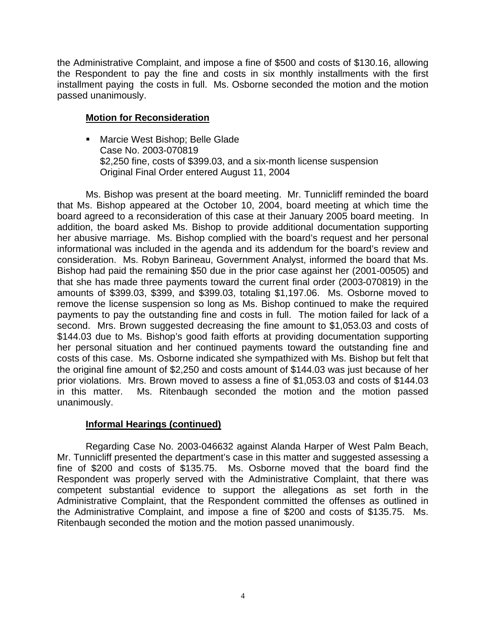the Administrative Complaint, and impose a fine of \$500 and costs of \$130.16, allowing the Respondent to pay the fine and costs in six monthly installments with the first installment paying the costs in full. Ms. Osborne seconded the motion and the motion passed unanimously.

# **Motion for Reconsideration**

**Marcie West Bishop; Belle Glade** Case No. 2003-070819 \$2,250 fine, costs of \$399.03, and a six-month license suspension Original Final Order entered August 11, 2004

Ms. Bishop was present at the board meeting. Mr. Tunnicliff reminded the board that Ms. Bishop appeared at the October 10, 2004, board meeting at which time the board agreed to a reconsideration of this case at their January 2005 board meeting. In addition, the board asked Ms. Bishop to provide additional documentation supporting her abusive marriage. Ms. Bishop complied with the board's request and her personal informational was included in the agenda and its addendum for the board's review and consideration. Ms. Robyn Barineau, Government Analyst, informed the board that Ms. Bishop had paid the remaining \$50 due in the prior case against her (2001-00505) and that she has made three payments toward the current final order (2003-070819) in the amounts of \$399.03, \$399, and \$399.03, totaling \$1,197.06. Ms. Osborne moved to remove the license suspension so long as Ms. Bishop continued to make the required payments to pay the outstanding fine and costs in full. The motion failed for lack of a second. Mrs. Brown suggested decreasing the fine amount to \$1,053.03 and costs of \$144.03 due to Ms. Bishop's good faith efforts at providing documentation supporting her personal situation and her continued payments toward the outstanding fine and costs of this case. Ms. Osborne indicated she sympathized with Ms. Bishop but felt that the original fine amount of \$2,250 and costs amount of \$144.03 was just because of her prior violations. Mrs. Brown moved to assess a fine of \$1,053.03 and costs of \$144.03 in this matter. Ms. Ritenbaugh seconded the motion and the motion passed unanimously.

# **Informal Hearings (continued)**

Regarding Case No. 2003-046632 against Alanda Harper of West Palm Beach, Mr. Tunnicliff presented the department's case in this matter and suggested assessing a fine of \$200 and costs of \$135.75. Ms. Osborne moved that the board find the Respondent was properly served with the Administrative Complaint, that there was competent substantial evidence to support the allegations as set forth in the Administrative Complaint, that the Respondent committed the offenses as outlined in the Administrative Complaint, and impose a fine of \$200 and costs of \$135.75. Ms. Ritenbaugh seconded the motion and the motion passed unanimously.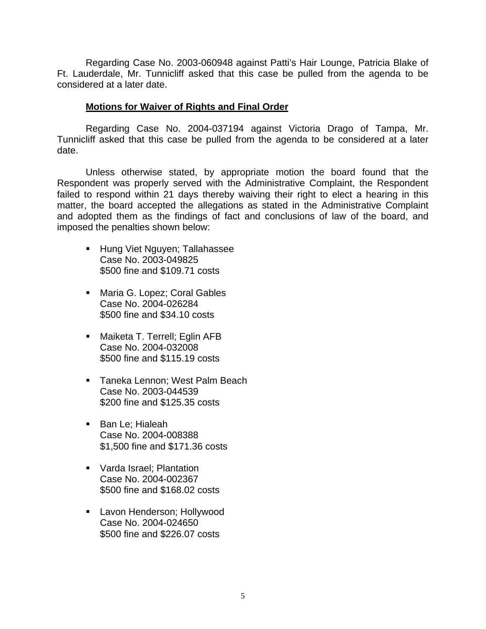Regarding Case No. 2003-060948 against Patti's Hair Lounge, Patricia Blake of Ft. Lauderdale, Mr. Tunnicliff asked that this case be pulled from the agenda to be considered at a later date.

### **Motions for Waiver of Rights and Final Order**

Regarding Case No. 2004-037194 against Victoria Drago of Tampa, Mr. Tunnicliff asked that this case be pulled from the agenda to be considered at a later date.

Unless otherwise stated, by appropriate motion the board found that the Respondent was properly served with the Administrative Complaint, the Respondent failed to respond within 21 days thereby waiving their right to elect a hearing in this matter, the board accepted the allegations as stated in the Administrative Complaint and adopted them as the findings of fact and conclusions of law of the board, and imposed the penalties shown below:

- **Hung Viet Nguyen; Tallahassee** Case No. 2003-049825 \$500 fine and \$109.71 costs
- **Maria G. Lopez; Coral Gables** Case No. 2004-026284 \$500 fine and \$34.10 costs
- **Maiketa T. Terrell; Eglin AFB** Case No. 2004-032008 \$500 fine and \$115.19 costs
- **Taneka Lennon: West Palm Beach** Case No. 2003-044539 \$200 fine and \$125.35 costs
- **Ban Le: Hialeah** Case No. 2004-008388 \$1,500 fine and \$171.36 costs
- **Varda Israel**; Plantation Case No. 2004-002367 \$500 fine and \$168.02 costs
- **Lavon Henderson; Hollywood** Case No. 2004-024650 \$500 fine and \$226.07 costs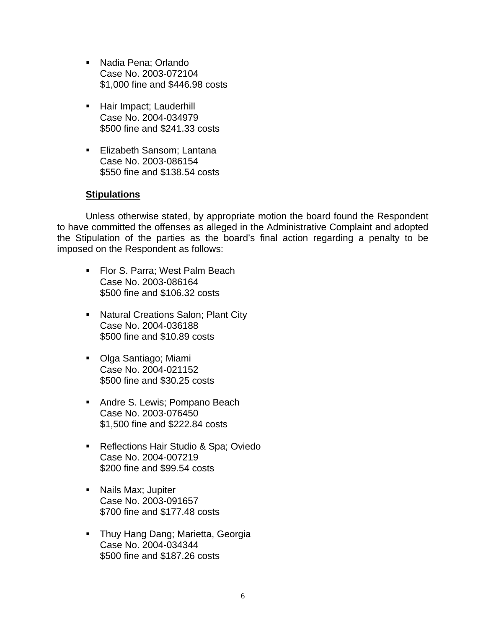- Nadia Pena; Orlando Case No. 2003-072104 \$1,000 fine and \$446.98 costs
- Hair Impact; Lauderhill Case No. 2004-034979 \$500 fine and \$241.33 costs
- **Elizabeth Sansom: Lantana** Case No. 2003-086154 \$550 fine and \$138.54 costs

## **Stipulations**

Unless otherwise stated, by appropriate motion the board found the Respondent to have committed the offenses as alleged in the Administrative Complaint and adopted the Stipulation of the parties as the board's final action regarding a penalty to be imposed on the Respondent as follows:

- **FIOT S. Parra: West Palm Beach** Case No. 2003-086164 \$500 fine and \$106.32 costs
- **Natural Creations Salon; Plant City** Case No. 2004-036188 \$500 fine and \$10.89 costs
- Olga Santiago; Miami Case No. 2004-021152 \$500 fine and \$30.25 costs
- **Andre S. Lewis; Pompano Beach** Case No. 2003-076450 \$1,500 fine and \$222.84 costs
- Reflections Hair Studio & Spa; Oviedo Case No. 2004-007219 \$200 fine and \$99.54 costs
- **Nails Max; Jupiter** Case No. 2003-091657 \$700 fine and \$177.48 costs
- **Thuy Hang Dang; Marietta, Georgia** Case No. 2004-034344 \$500 fine and \$187.26 costs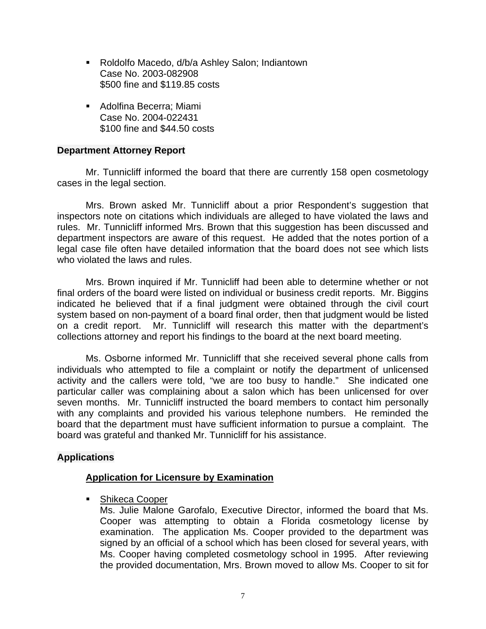- Roldolfo Macedo, d/b/a Ashley Salon; Indiantown Case No. 2003-082908 \$500 fine and \$119.85 costs
- Adolfina Becerra; Miami Case No. 2004-022431 \$100 fine and \$44.50 costs

## **Department Attorney Report**

Mr. Tunnicliff informed the board that there are currently 158 open cosmetology cases in the legal section.

Mrs. Brown asked Mr. Tunnicliff about a prior Respondent's suggestion that inspectors note on citations which individuals are alleged to have violated the laws and rules. Mr. Tunnicliff informed Mrs. Brown that this suggestion has been discussed and department inspectors are aware of this request. He added that the notes portion of a legal case file often have detailed information that the board does not see which lists who violated the laws and rules.

Mrs. Brown inquired if Mr. Tunnicliff had been able to determine whether or not final orders of the board were listed on individual or business credit reports. Mr. Biggins indicated he believed that if a final judgment were obtained through the civil court system based on non-payment of a board final order, then that judgment would be listed on a credit report. Mr. Tunnicliff will research this matter with the department's collections attorney and report his findings to the board at the next board meeting.

Ms. Osborne informed Mr. Tunnicliff that she received several phone calls from individuals who attempted to file a complaint or notify the department of unlicensed activity and the callers were told, "we are too busy to handle." She indicated one particular caller was complaining about a salon which has been unlicensed for over seven months. Mr. Tunnicliff instructed the board members to contact him personally with any complaints and provided his various telephone numbers. He reminded the board that the department must have sufficient information to pursue a complaint. The board was grateful and thanked Mr. Tunnicliff for his assistance.

# **Applications**

# **Application for Licensure by Examination**

■ Shikeca Cooper

Ms. Julie Malone Garofalo, Executive Director, informed the board that Ms. Cooper was attempting to obtain a Florida cosmetology license by examination. The application Ms. Cooper provided to the department was signed by an official of a school which has been closed for several years, with Ms. Cooper having completed cosmetology school in 1995. After reviewing the provided documentation, Mrs. Brown moved to allow Ms. Cooper to sit for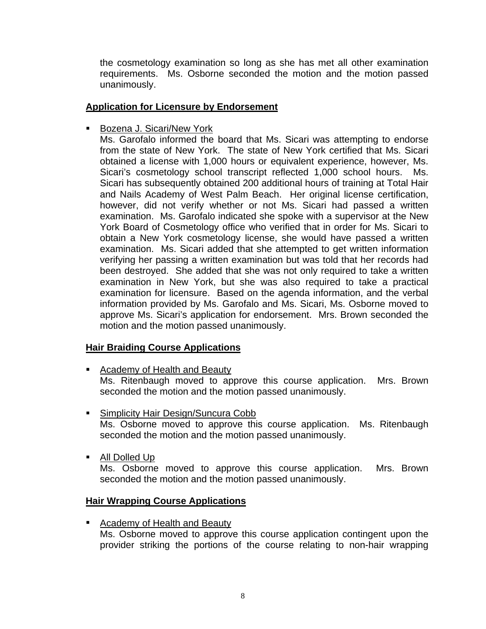the cosmetology examination so long as she has met all other examination requirements. Ms. Osborne seconded the motion and the motion passed unanimously.

## **Application for Licensure by Endorsement**

■ Bozena J. Sicari/New York

Ms. Garofalo informed the board that Ms. Sicari was attempting to endorse from the state of New York. The state of New York certified that Ms. Sicari obtained a license with 1,000 hours or equivalent experience, however, Ms. Sicari's cosmetology school transcript reflected 1,000 school hours. Ms. Sicari has subsequently obtained 200 additional hours of training at Total Hair and Nails Academy of West Palm Beach. Her original license certification, however, did not verify whether or not Ms. Sicari had passed a written examination. Ms. Garofalo indicated she spoke with a supervisor at the New York Board of Cosmetology office who verified that in order for Ms. Sicari to obtain a New York cosmetology license, she would have passed a written examination. Ms. Sicari added that she attempted to get written information verifying her passing a written examination but was told that her records had been destroyed. She added that she was not only required to take a written examination in New York, but she was also required to take a practical examination for licensure. Based on the agenda information, and the verbal information provided by Ms. Garofalo and Ms. Sicari, Ms. Osborne moved to approve Ms. Sicari's application for endorsement. Mrs. Brown seconded the motion and the motion passed unanimously.

# **Hair Braiding Course Applications**

**EXEC** Academy of Health and Beauty

Ms. Ritenbaugh moved to approve this course application. Mrs. Brown seconded the motion and the motion passed unanimously.

■ Simplicity Hair Design/Suncura Cobb

Ms. Osborne moved to approve this course application. Ms. Ritenbaugh seconded the motion and the motion passed unanimously.

All Dolled Up

Ms. Osborne moved to approve this course application. Mrs. Brown seconded the motion and the motion passed unanimously.

# **Hair Wrapping Course Applications**

**EXEQ Academy of Health and Beauty** Ms. Osborne moved to approve this course application contingent upon the provider striking the portions of the course relating to non-hair wrapping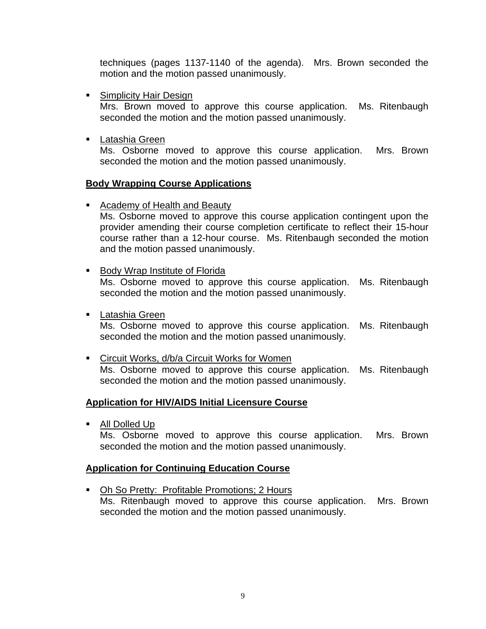techniques (pages 1137-1140 of the agenda). Mrs. Brown seconded the motion and the motion passed unanimously.

**Simplicity Hair Design** 

Mrs. Brown moved to approve this course application. Ms. Ritenbaugh seconded the motion and the motion passed unanimously.

Latashia Green

Ms. Osborne moved to approve this course application. Mrs. Brown seconded the motion and the motion passed unanimously.

### **Body Wrapping Course Applications**

**Academy of Health and Beauty** 

Ms. Osborne moved to approve this course application contingent upon the provider amending their course completion certificate to reflect their 15-hour course rather than a 12-hour course. Ms. Ritenbaugh seconded the motion and the motion passed unanimously.

**Body Wrap Institute of Florida** 

Ms. Osborne moved to approve this course application. Ms. Ritenbaugh seconded the motion and the motion passed unanimously.

**Latashia Green** Ms. Osborne moved to approve this course application. Ms. Ritenbaugh seconded the motion and the motion passed unanimously.

**EXEC** Circuit Works, d/b/a Circuit Works for Women Ms. Osborne moved to approve this course application. Ms. Ritenbaugh seconded the motion and the motion passed unanimously.

## **Application for HIV/AIDS Initial Licensure Course**

All Dolled Up

Ms. Osborne moved to approve this course application. Mrs. Brown seconded the motion and the motion passed unanimously.

## **Application for Continuing Education Course**

• Oh So Pretty: Profitable Promotions; 2 Hours Ms. Ritenbaugh moved to approve this course application. Mrs. Brown seconded the motion and the motion passed unanimously.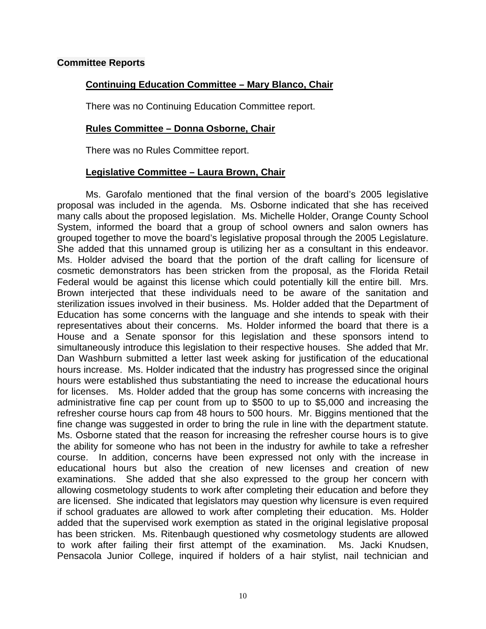### **Committee Reports**

## **Continuing Education Committee – Mary Blanco, Chair**

There was no Continuing Education Committee report.

### **Rules Committee – Donna Osborne, Chair**

There was no Rules Committee report.

### **Legislative Committee – Laura Brown, Chair**

Ms. Garofalo mentioned that the final version of the board's 2005 legislative proposal was included in the agenda. Ms. Osborne indicated that she has received many calls about the proposed legislation. Ms. Michelle Holder, Orange County School System, informed the board that a group of school owners and salon owners has grouped together to move the board's legislative proposal through the 2005 Legislature. She added that this unnamed group is utilizing her as a consultant in this endeavor. Ms. Holder advised the board that the portion of the draft calling for licensure of cosmetic demonstrators has been stricken from the proposal, as the Florida Retail Federal would be against this license which could potentially kill the entire bill. Mrs. Brown interjected that these individuals need to be aware of the sanitation and sterilization issues involved in their business. Ms. Holder added that the Department of Education has some concerns with the language and she intends to speak with their representatives about their concerns. Ms. Holder informed the board that there is a House and a Senate sponsor for this legislation and these sponsors intend to simultaneously introduce this legislation to their respective houses. She added that Mr. Dan Washburn submitted a letter last week asking for justification of the educational hours increase. Ms. Holder indicated that the industry has progressed since the original hours were established thus substantiating the need to increase the educational hours for licenses. Ms. Holder added that the group has some concerns with increasing the administrative fine cap per count from up to \$500 to up to \$5,000 and increasing the refresher course hours cap from 48 hours to 500 hours. Mr. Biggins mentioned that the fine change was suggested in order to bring the rule in line with the department statute. Ms. Osborne stated that the reason for increasing the refresher course hours is to give the ability for someone who has not been in the industry for awhile to take a refresher course. In addition, concerns have been expressed not only with the increase in educational hours but also the creation of new licenses and creation of new examinations. She added that she also expressed to the group her concern with allowing cosmetology students to work after completing their education and before they are licensed. She indicated that legislators may question why licensure is even required if school graduates are allowed to work after completing their education. Ms. Holder added that the supervised work exemption as stated in the original legislative proposal has been stricken. Ms. Ritenbaugh questioned why cosmetology students are allowed to work after failing their first attempt of the examination. Ms. Jacki Knudsen, Pensacola Junior College, inquired if holders of a hair stylist, nail technician and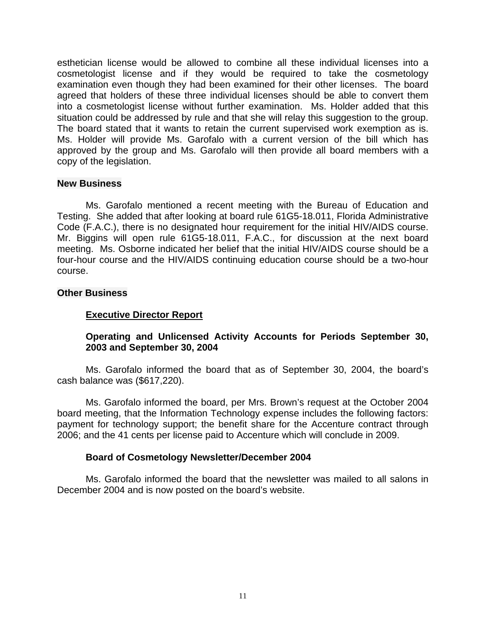esthetician license would be allowed to combine all these individual licenses into a cosmetologist license and if they would be required to take the cosmetology examination even though they had been examined for their other licenses. The board agreed that holders of these three individual licenses should be able to convert them into a cosmetologist license without further examination. Ms. Holder added that this situation could be addressed by rule and that she will relay this suggestion to the group. The board stated that it wants to retain the current supervised work exemption as is. Ms. Holder will provide Ms. Garofalo with a current version of the bill which has approved by the group and Ms. Garofalo will then provide all board members with a copy of the legislation.

#### **New Business**

Ms. Garofalo mentioned a recent meeting with the Bureau of Education and Testing. She added that after looking at board rule 61G5-18.011, Florida Administrative Code (F.A.C.), there is no designated hour requirement for the initial HIV/AIDS course. Mr. Biggins will open rule 61G5-18.011, F.A.C., for discussion at the next board meeting. Ms. Osborne indicated her belief that the initial HIV/AIDS course should be a four-hour course and the HIV/AIDS continuing education course should be a two-hour course.

### **Other Business**

## **Executive Director Report**

## **Operating and Unlicensed Activity Accounts for Periods September 30, 2003 and September 30, 2004**

Ms. Garofalo informed the board that as of September 30, 2004, the board's cash balance was (\$617,220).

Ms. Garofalo informed the board, per Mrs. Brown's request at the October 2004 board meeting, that the Information Technology expense includes the following factors: payment for technology support; the benefit share for the Accenture contract through 2006; and the 41 cents per license paid to Accenture which will conclude in 2009.

## **Board of Cosmetology Newsletter/December 2004**

Ms. Garofalo informed the board that the newsletter was mailed to all salons in December 2004 and is now posted on the board's website.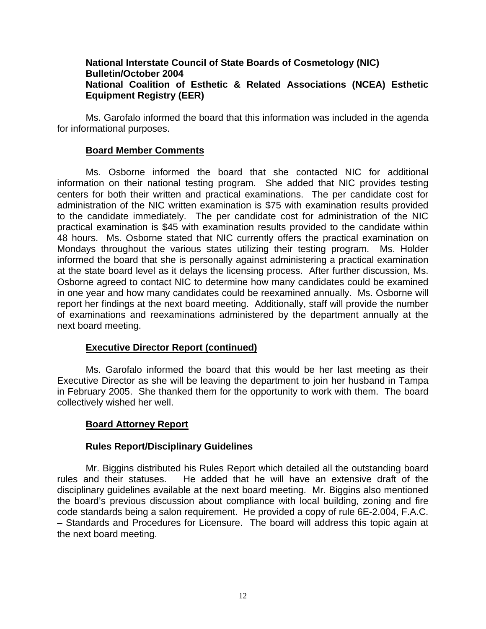## **National Interstate Council of State Boards of Cosmetology (NIC) Bulletin/October 2004 National Coalition of Esthetic & Related Associations (NCEA) Esthetic Equipment Registry (EER)**

Ms. Garofalo informed the board that this information was included in the agenda for informational purposes.

### **Board Member Comments**

Ms. Osborne informed the board that she contacted NIC for additional information on their national testing program. She added that NIC provides testing centers for both their written and practical examinations. The per candidate cost for administration of the NIC written examination is \$75 with examination results provided to the candidate immediately. The per candidate cost for administration of the NIC practical examination is \$45 with examination results provided to the candidate within 48 hours. Ms. Osborne stated that NIC currently offers the practical examination on Mondays throughout the various states utilizing their testing program. Ms. Holder informed the board that she is personally against administering a practical examination at the state board level as it delays the licensing process. After further discussion, Ms. Osborne agreed to contact NIC to determine how many candidates could be examined in one year and how many candidates could be reexamined annually. Ms. Osborne will report her findings at the next board meeting. Additionally, staff will provide the number of examinations and reexaminations administered by the department annually at the next board meeting.

## **Executive Director Report (continued)**

Ms. Garofalo informed the board that this would be her last meeting as their Executive Director as she will be leaving the department to join her husband in Tampa in February 2005. She thanked them for the opportunity to work with them. The board collectively wished her well.

## **Board Attorney Report**

#### **Rules Report/Disciplinary Guidelines**

Mr. Biggins distributed his Rules Report which detailed all the outstanding board rules and their statuses. He added that he will have an extensive draft of the disciplinary guidelines available at the next board meeting. Mr. Biggins also mentioned the board's previous discussion about compliance with local building, zoning and fire code standards being a salon requirement. He provided a copy of rule 6E-2.004, F.A.C. – Standards and Procedures for Licensure. The board will address this topic again at the next board meeting.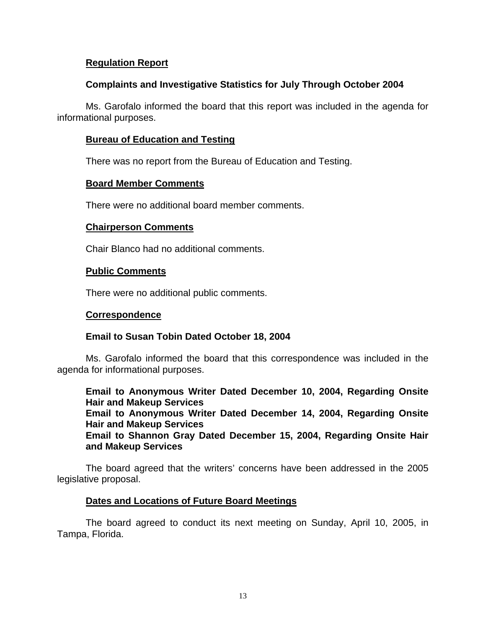## **Regulation Report**

## **Complaints and Investigative Statistics for July Through October 2004**

Ms. Garofalo informed the board that this report was included in the agenda for informational purposes.

## **Bureau of Education and Testing**

There was no report from the Bureau of Education and Testing.

## **Board Member Comments**

There were no additional board member comments.

## **Chairperson Comments**

Chair Blanco had no additional comments.

## **Public Comments**

There were no additional public comments.

## **Correspondence**

## **Email to Susan Tobin Dated October 18, 2004**

Ms. Garofalo informed the board that this correspondence was included in the agenda for informational purposes.

**Email to Anonymous Writer Dated December 10, 2004, Regarding Onsite Hair and Makeup Services Email to Anonymous Writer Dated December 14, 2004, Regarding Onsite Hair and Makeup Services** 

**Email to Shannon Gray Dated December 15, 2004, Regarding Onsite Hair and Makeup Services** 

The board agreed that the writers' concerns have been addressed in the 2005 legislative proposal.

## **Dates and Locations of Future Board Meetings**

The board agreed to conduct its next meeting on Sunday, April 10, 2005, in Tampa, Florida.